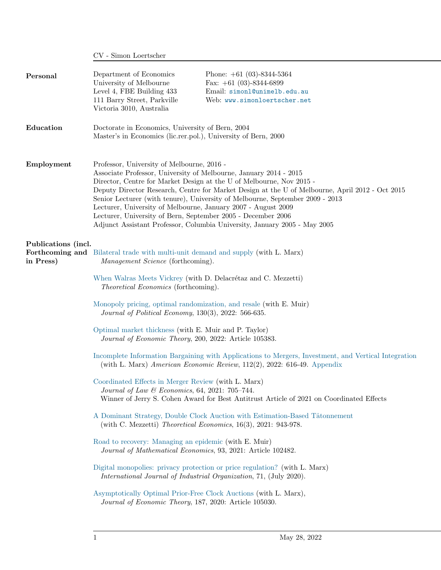|                                  | CV - Simon Loertscher                                                                                                                                                                                                                                                                                                                                                                                                                                                                                                                                                                     |                                                                                                                                                                                 |
|----------------------------------|-------------------------------------------------------------------------------------------------------------------------------------------------------------------------------------------------------------------------------------------------------------------------------------------------------------------------------------------------------------------------------------------------------------------------------------------------------------------------------------------------------------------------------------------------------------------------------------------|---------------------------------------------------------------------------------------------------------------------------------------------------------------------------------|
| Personal                         | Department of Economics<br>University of Melbourne<br>Level 4, FBE Building 433<br>111 Barry Street, Parkville<br>Victoria 3010, Australia                                                                                                                                                                                                                                                                                                                                                                                                                                                | Phone: $+61$ (03)-8344-5364<br>Fax: $+61$ (03)-8344-6899<br>Email: simonl@unimelb.edu.au<br>Web: www.simonloertscher.net                                                        |
| Education                        | Doctorate in Economics, University of Bern, 2004<br>Master's in Economics (lic.rer.pol.), University of Bern, 2000                                                                                                                                                                                                                                                                                                                                                                                                                                                                        |                                                                                                                                                                                 |
| Employment                       | Professor, University of Melbourne, 2016 -<br>Associate Professor, University of Melbourne, January 2014 - 2015<br>Director, Centre for Market Design at the U of Melbourne, Nov 2015 -<br>Deputy Director Research, Centre for Market Design at the U of Melbourne, April 2012 - Oct 2015<br>Senior Lecturer (with tenure), University of Melbourne, September 2009 - 2013<br>Lecturer, University of Melbourne, January 2007 - August 2009<br>Lecturer, University of Bern, September 2005 - December 2006<br>Adjunct Assistant Professor, Columbia University, January 2005 - May 2005 |                                                                                                                                                                                 |
| Publications (incl.<br>in Press) | <b>Forthcoming and</b> Bilateral trade with multi-unit demand and supply (with L. Marx)<br>Management Science (forthcoming).<br>When Walras Meets Vickrey (with D. Delacrétaz and C. Mezzetti)<br><i>Theoretical Economics</i> (forthcoming).                                                                                                                                                                                                                                                                                                                                             |                                                                                                                                                                                 |
|                                  | Monopoly pricing, optimal randomization, and resale (with E. Muir)<br>Journal of Political Economy, 130(3), 2022: 566-635.                                                                                                                                                                                                                                                                                                                                                                                                                                                                |                                                                                                                                                                                 |
|                                  | Optimal market thickness (with E. Muir and P. Taylor)<br>Journal of Economic Theory, 200, 2022: Article 105383.                                                                                                                                                                                                                                                                                                                                                                                                                                                                           |                                                                                                                                                                                 |
|                                  |                                                                                                                                                                                                                                                                                                                                                                                                                                                                                                                                                                                           | Incomplete Information Bargaining with Applications to Mergers, Investment, and Vertical Integration<br>(with L. Marx) American Economic Review, 112(2), 2022: 616-49. Appendix |
|                                  | Coordinated Effects in Merger Review (with L. Marx)<br>Journal of Law & Economics, 64, 2021: 705-744.                                                                                                                                                                                                                                                                                                                                                                                                                                                                                     | Winner of Jerry S. Cohen Award for Best Antitrust Article of 2021 on Coordinated Effects                                                                                        |
|                                  | (with C. Mezzetti) Theoretical Economics, $16(3)$ , $2021: 943-978$ .                                                                                                                                                                                                                                                                                                                                                                                                                                                                                                                     | A Dominant Strategy, Double Clock Auction with Estimation-Based Tâtonnement                                                                                                     |
|                                  | Road to recovery: Managing an epidemic (with E. Muir)<br>Journal of Mathematical Economics, 93, 2021: Article 102482.                                                                                                                                                                                                                                                                                                                                                                                                                                                                     |                                                                                                                                                                                 |
|                                  | International Journal of Industrial Organization, 71, (July 2020).                                                                                                                                                                                                                                                                                                                                                                                                                                                                                                                        | Digital monopolies: privacy protection or price regulation? (with L. Marx)                                                                                                      |
|                                  | Asymptotically Optimal Prior-Free Clock Auctions (with L. Marx),<br>Journal of Economic Theory, 187, 2020: Article 105030.                                                                                                                                                                                                                                                                                                                                                                                                                                                                |                                                                                                                                                                                 |
|                                  |                                                                                                                                                                                                                                                                                                                                                                                                                                                                                                                                                                                           |                                                                                                                                                                                 |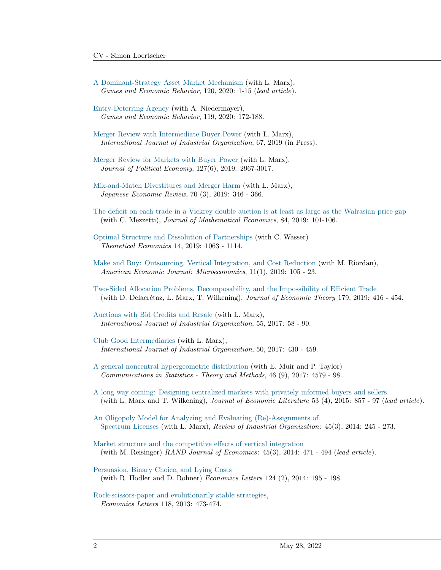- [A Dominant-Strategy Asset Market Mechanism](https://www.sciencedirect.com/science/article/pii/S0899825619301769?via%3Dihub) (with L. Marx), Games and Economic Behavior, 120, 2020: 1-15 (lead article).
- [Entry-Deterring Agency](https://www.sciencedirect.com/science/article/pii/S0899825619301435?dgcid=author) (with A. Niedermayer), Games and Economic Behavior, 119, 2020: 172-188.
- [Merger Review with Intermediate Buyer Power](https://www.sciencedirect.com/science/article/pii/S0167718719300530) (with L. Marx), International Journal of Industrial Organization, 67, 2019 (in Press).
- [Merger Review for Markets with Buyer Power](https://faculty.fuqua.duke.edu/~marx/bio/papers/BP.2018-01-01.pdf) (with L. Marx), Journal of Political Economy, 127(6), 2019: 2967-3017.
- [Mix-and-Match Divestitures and Merger Harm](http://simonloertscher.net/wp-content/uploads/2019/07/LoertscherMarx.DivestituresJER.2019.pdf) (with L. Marx), Japanese Economic Review, 70 (3), 2019: 346 - 366.
- [The deficit on each trade in a Vickrey double auction is at least as large as the Walrasian price gap](http://simonloertscher.net/wp-content/uploads/2019/07/Deficit_JME-2019-July-16.pdf) (with C. Mezzetti), Journal of Mathematical Economics, 84, 2019: 101-106.
- [Optimal Structure and Dissolution of Partnerships](http://simonloertscher.net/wp-content/uploads/2019/07/TE2608.pdf) (with C. Wasser) Theoretical Economics 14, 2019: 1063 - 1114.
- [Make and Buy: Outsourcing, Vertical Integration, and Cost Reduction](http://simonloertscher.net/wp-content/uploads/2018/04/Outsourcing.2017-11-16.pdf) (with M. Riordan), American Economic Journal: Microeconomics, 11(1), 2019: 105 - 23.
- [Two-Sided Allocation Problems, Decomposability, and the Impossibility of Efficient Trade](https://www.sciencedirect.com/science/article/pii/S0022053118306793) (with D. Delacrétaz, L. Marx, T. Wilkening), *Journal of Economic Theory* 179, 2019:  $416 - 454$ .
- [Auctions with Bid Credits and Resale](https://www.sciencedirect.com/science/article/pii/S0167718716301035) (with L. Marx), International Journal of Industrial Organization, 55, 2017: 58 - 90.
- [Club Good Intermediaries](https://faculty.fuqua.duke.edu/~marx/bio/papers/OptimalClubs.pdf) (with L. Marx), International Journal of Industrial Organization, 50, 2017: 430 - 459.
- [A general noncentral hypergeometric distribution](http://ellenmuir.net/wp-content/uploads/2016/11/hypergeometric.pdf) (with E. Muir and P. Taylor) Communications in Statistics - Theory and Methods, 46 (9), 2017: 4579 - 98.
- [A long way coming: Designing centralized markets with privately informed buyers and sellers](https://faculty.fuqua.duke.edu/~marx/bio/papers/incentiveauction1.pdf) (with L. Marx and T. Wilkening), Journal of Economic Literature 53 (4), 2015: 857 - 97 (lead article).
- [An Oligopoly Model for Analyzing and Evaluating \(Re\)-Assignments of](https://faculty.fuqua.duke.edu/~marx/bio/papers/LMforRIO200114.pdf) [Spectrum Licenses](https://faculty.fuqua.duke.edu/~marx/bio/papers/LMforRIO200114.pdf) (with L. Marx), Review of Industrial Organization: 45(3), 2014: 245 - 273.
- [Market structure and the competitive effects of vertical integration](http://simonloertscher.net/wp-content/uploads/2018/04/LR110214.pdf) (with M. Reisinger) RAND Journal of Economics: 45(3), 2014: 471 - 494 (lead article).
- [Persuasion, Binary Choice, and Lying Costs](http://www.sciencedirect.com/science/article/pii/S0165176514001803) (with R. Hodler and D. Rohner) Economics Letters 124 (2), 2014: 195 - 198.
- [Rock-scissors-paper and evolutionarily stable strategies,](http://simonloertscher.net/wp-content/uploads/2018/04/RSPD.web_.pdf) Economics Letters 118, 2013: 473-474.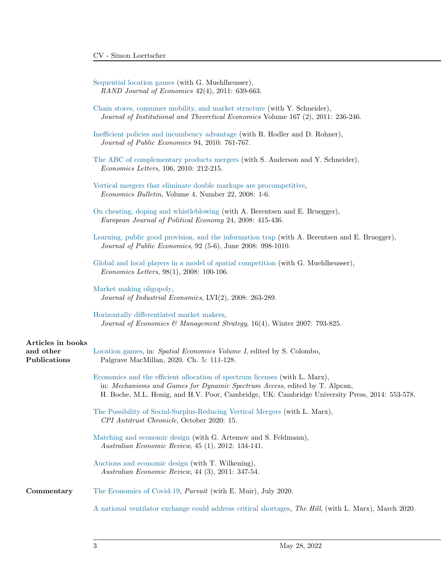[Sequential location games](http://www.simonloertscher.net/data/downloads/12120/DLG180611.pdf) (with G. Muehlheusser), RAND Journal of Economics 42(4), 2011: 639-663.

|                           | Chain stores, consumer mobility, and market structure (with Y. Schneider),<br>Journal of Institutional and Theoretical Economics Volume $167$ (2), $2011: 236-246$ .                                                                                        |
|---------------------------|-------------------------------------------------------------------------------------------------------------------------------------------------------------------------------------------------------------------------------------------------------------|
|                           | Inefficient policies and incumbency advantage (with R. Hodler and D. Rohner),<br>Journal of Public Economics 94, 2010: 761-767.                                                                                                                             |
|                           | The ABC of complementary products mergers (with S. Anderson and Y. Schneider),<br><i>Economics Letters</i> , 106, 2010: 212-215.                                                                                                                            |
|                           | Vertical mergers that eliminate double markups are procompetitive,<br>Economics Bulletin, Volume 4, Number 22, 2008: 1-6.                                                                                                                                   |
|                           | On cheating, doping and whistleblowing (with A. Berentsen and E. Bruegger),<br>European Journal of Political Economy 24, 2008: 415-436.                                                                                                                     |
|                           | Learning, public good provision, and the information trap (with A. Berentsen and E. Bruegger),<br>Journal of Public Economics, 92 (5-6), June 2008: 998-1010.                                                                                               |
|                           | Global and local players in a model of spatial competition (with G. Muehlheusser),<br><i>Economics Letters</i> , $98(1)$ , $2008: 100-106$ .                                                                                                                |
|                           | Market making oligopoly,<br>Journal of Industrial Economics, LVI(2), 2008: 263-289.                                                                                                                                                                         |
|                           | Horizontally differentiated market makers,<br>Journal of Economics & Management Strategy, 16(4), Winter 2007: 793-825.                                                                                                                                      |
| Articles in books         |                                                                                                                                                                                                                                                             |
| and other<br>Publications | Location games, in: Spatial Economics Volume I, edited by S. Colombo,<br>Palgrave MacMillan, 2020. Ch. 5: 111-128.                                                                                                                                          |
|                           | Economics and the efficient allocation of spectrum licenses (with L. Marx),<br>in: Mechanisms and Games for Dynamic Spectrum Access, edited by T. Alpcan,<br>H. Boche, M.L. Honig, and H.V. Poor, Cambridge, UK: Cambridge University Press, 2014: 553-578. |
|                           | The Possibility of Social-Surplus-Reducing Vertical Mergers (with L. Marx),<br>CPI Antitrust Chronicle, October 2020: 15.                                                                                                                                   |
|                           | Matching and economic design (with G. Artemov and S. Feldmann),<br>Australian Economic Review, 45 (1), 2012: 134-141.                                                                                                                                       |
|                           | Auctions and economic design (with T. Wilkening),<br>Australian Economic Review, 44 (3), 2011: 347-54.                                                                                                                                                      |
| Commentary                | The Economics of Covid-19, <i>Pursuit</i> (with E. Muir), July 2020.                                                                                                                                                                                        |
|                           | A national ventilator exchange could address critical shortages, The Hill, (with L. Marx), March 2020.                                                                                                                                                      |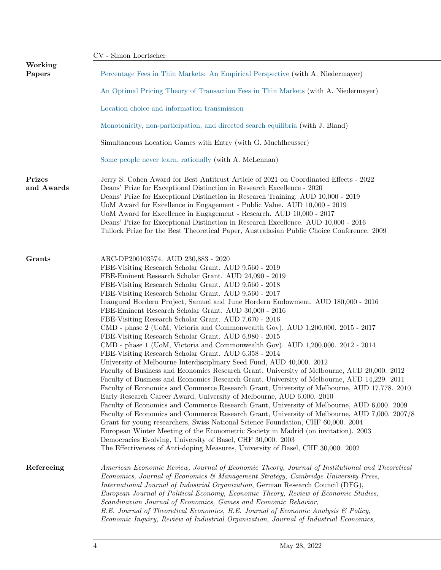|                      | CV - Simon Loertscher                                                                                                                                                                                                                                                                                                                                                                                                                                                                                                                                                                                                                                                                                                                                                                                                                                                                                                                                                                                                                                                                                                                                                                                                                                                                                                                                                                                                                                                                                                                                                                                                                                                                                                                         |
|----------------------|-----------------------------------------------------------------------------------------------------------------------------------------------------------------------------------------------------------------------------------------------------------------------------------------------------------------------------------------------------------------------------------------------------------------------------------------------------------------------------------------------------------------------------------------------------------------------------------------------------------------------------------------------------------------------------------------------------------------------------------------------------------------------------------------------------------------------------------------------------------------------------------------------------------------------------------------------------------------------------------------------------------------------------------------------------------------------------------------------------------------------------------------------------------------------------------------------------------------------------------------------------------------------------------------------------------------------------------------------------------------------------------------------------------------------------------------------------------------------------------------------------------------------------------------------------------------------------------------------------------------------------------------------------------------------------------------------------------------------------------------------|
| Working<br>Papers    | Percentage Fees in Thin Markets: An Empirical Perspective (with A. Niedermayer)                                                                                                                                                                                                                                                                                                                                                                                                                                                                                                                                                                                                                                                                                                                                                                                                                                                                                                                                                                                                                                                                                                                                                                                                                                                                                                                                                                                                                                                                                                                                                                                                                                                               |
|                      | An Optimal Pricing Theory of Transaction Fees in Thin Markets (with A. Niedermayer)                                                                                                                                                                                                                                                                                                                                                                                                                                                                                                                                                                                                                                                                                                                                                                                                                                                                                                                                                                                                                                                                                                                                                                                                                                                                                                                                                                                                                                                                                                                                                                                                                                                           |
|                      | Location choice and information transmission                                                                                                                                                                                                                                                                                                                                                                                                                                                                                                                                                                                                                                                                                                                                                                                                                                                                                                                                                                                                                                                                                                                                                                                                                                                                                                                                                                                                                                                                                                                                                                                                                                                                                                  |
|                      | Monotonicity, non-participation, and directed search equilibria (with J. Bland)                                                                                                                                                                                                                                                                                                                                                                                                                                                                                                                                                                                                                                                                                                                                                                                                                                                                                                                                                                                                                                                                                                                                                                                                                                                                                                                                                                                                                                                                                                                                                                                                                                                               |
|                      | Simultaneous Location Games with Entry (with G. Muehlheusser)                                                                                                                                                                                                                                                                                                                                                                                                                                                                                                                                                                                                                                                                                                                                                                                                                                                                                                                                                                                                                                                                                                                                                                                                                                                                                                                                                                                                                                                                                                                                                                                                                                                                                 |
|                      | Some people never learn, rationally (with A. McLennan)                                                                                                                                                                                                                                                                                                                                                                                                                                                                                                                                                                                                                                                                                                                                                                                                                                                                                                                                                                                                                                                                                                                                                                                                                                                                                                                                                                                                                                                                                                                                                                                                                                                                                        |
| Prizes<br>and Awards | Jerry S. Cohen Award for Best Antitrust Article of 2021 on Coordinated Effects - 2022<br>Deans' Prize for Exceptional Distinction in Research Excellence - 2020<br>Deans' Prize for Exceptional Distinction in Research Training. AUD 10,000 - 2019<br>UoM Award for Excellence in Engagement - Public Value. AUD 10,000 - 2019<br>UoM Award for Excellence in Engagement - Research. AUD 10,000 - 2017<br>Deans' Prize for Exceptional Distinction in Research Excellence. AUD 10,000 - 2016<br>Tullock Prize for the Best Theoretical Paper, Australasian Public Choice Conference. 2009                                                                                                                                                                                                                                                                                                                                                                                                                                                                                                                                                                                                                                                                                                                                                                                                                                                                                                                                                                                                                                                                                                                                                    |
| Grants               | ARC-DP200103574. AUD 230,883 - 2020<br>FBE-Visiting Research Scholar Grant. AUD 9,560 - 2019<br>FBE-Eminent Research Scholar Grant. AUD 24,090 - 2019<br>FBE-Visiting Research Scholar Grant. AUD 9,560 - 2018<br>FBE-Visiting Research Scholar Grant. AUD 9,560 - 2017<br>Inaugural Hordern Project, Samuel and June Hordern Endowment. AUD 180,000 - 2016<br>FBE-Eminent Research Scholar Grant. AUD 30,000 - 2016<br>FBE-Visiting Research Scholar Grant. AUD 7,670 - 2016<br>CMD - phase 2 (UoM, Victoria and Commonwealth Gov). AUD 1,200,000. 2015 - 2017<br>FBE-Visiting Research Scholar Grant. AUD 6,980 - 2015<br>CMD - phase 1 (UoM, Victoria and Commonwealth Gov). AUD 1,200,000. 2012 - 2014<br>FBE-Visiting Research Scholar Grant. AUD 6,358 - 2014<br>University of Melbourne Interdisciplinary Seed Fund, AUD 40,000. 2012<br>Faculty of Business and Economics Research Grant, University of Melbourne, AUD 20,000. 2012<br>Faculty of Business and Economics Research Grant, University of Melbourne, AUD 14,229. 2011<br>Faculty of Economics and Commerce Research Grant, University of Melbourne, AUD 17,778. 2010<br>Early Research Career Award, University of Melbourne, AUD 6,000. 2010<br>Faculty of Economics and Commerce Research Grant, University of Melbourne, AUD 6,000. 2009<br>Faculty of Economics and Commerce Research Grant, University of Melbourne, AUD 7,000. 2007/8<br>Grant for young researchers, Swiss National Science Foundation, CHF 60,000. 2004<br>European Winter Meeting of the Econometric Society in Madrid (on invitation). 2003<br>Democracies Evolving, University of Basel, CHF 30,000. 2003<br>The Effectiveness of Anti-doping Measures, University of Basel, CHF 30,000. 2002 |
| Refereeing           | American Economic Review, Journal of Economic Theory, Journal of Institutional and Theoretical<br>Economics, Journal of Economics & Management Strategy, Cambridge University Press,<br>International Journal of Industrial Organization, German Research Council (DFG),<br>European Journal of Political Economy, Economic Theory, Review of Economic Studies,<br>Scandinavian Journal of Economics, Games and Economic Behavior,<br>B.E. Journal of Theoretical Economics, B.E. Journal of Economic Analysis & Policy,<br>Economic Inquiry, Review of Industrial Organization, Journal of Industrial Economics,                                                                                                                                                                                                                                                                                                                                                                                                                                                                                                                                                                                                                                                                                                                                                                                                                                                                                                                                                                                                                                                                                                                             |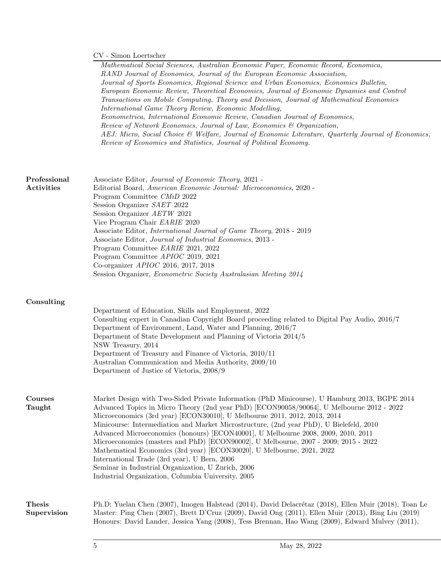## $\mathrm{CV}$  - Simon Loertscher

Mathematical Social Sciences, Australian Economic Paper, Economic Record, Economica, RAND Journal of Economics, Journal of the European Economic Association, Journal of Sports Economics, Regional Science and Urban Economics, Economics Bulletin, European Economic Review, Theoretical Economics, Journal of Economic Dynamics and Control Transactions on Mobile Computing, Theory and Decision, Journal of Mathematical Economics International Game Theory Review, Economic Modelling, Econometrica, International Economic Review, Canadian Journal of Economics, Review of Network Economics, Journal of Law, Economics & Organization, AEJ: Micro, Social Choice & Welfare, Journal of Economic Literature, Quarterly Journal of Economics, Review of Economics and Statistics, Journal of Political Economy. Professional Activities Associate Editor, Journal of Economic Theory, 2021 - Editorial Board, American Economic Journal: Microeconomics, 2020 - Program Committee CMiD 2022 Session Organizer SAET 2022 Session Organizer AETW 2021 Vice Program Chair EARIE 2020 Associate Editor, International Journal of Game Theory, 2018 - 2019 Associate Editor, Journal of Industrial Economics, 2013 - Program Committee EARIE 2021, 2022 Program Committee APIOC 2019, 2021 Co-organizer APIOC 2016, 2017, 2018 Session Organizer, Econometric Society Australasian Meeting 2014 Consulting Department of Education, Skills and Employment, 2022 Consulting expert in Canadian Copyright Board proceeding related to Digital Pay Audio, 2016/7 Department of Environment, Land, Water and Planning, 2016/7 Department of State Development and Planning of Victoria 2014/5 NSW Treasury, 2014 Department of Treasury and Finance of Victoria, 2010/11 Australian Communication and Media Authority, 2009/10 Department of Justice of Victoria, 2008/9 Courses Taught Market Design with Two-Sided Private Information (PhD Minicourse), U Hamburg 2013, BGPE 2014 Advanced Topics in Micro Theory (2nd year PhD) [ECON90058/90064], U Melbourne 2012 - 2022 Microeconomics (3rd year) [ECON30010], U Melbourne 2011, 2012, 2013, 2014 Minicourse: Intermediation and Market Microstructure, (2nd year PhD), U Bielefeld, 2010 Advanced Microeconomics (honours) [ECON40001], U Melbourne 2008, 2009, 2010, 2011 Microeconomics (masters and PhD) [ECON90002], U Melbourne, 2007 - 2009; 2015 - 2022 Mathematical Economics (3rd year) [ECON30020], U Melbourne, 2021, 2022 International Trade (3rd year), U Bern, 2006 Seminar in Industrial Organization, U Zurich, 2006 Industrial Organization, Columbia University, 2005 Thesis Supervision Ph.D: Yuelan Chen (2007), Imogen Halstead (2014), David Delacrétaz (2018), Ellen Muir (2018), Toan Le Master: Ping Chen (2007), Brett D'Cruz (2009), David Ong (2011), Ellen Muir (2013), Bing Liu (2019) Honours: David Lander, Jessica Yang (2008), Tess Brennan, Hao Wang (2009), Edward Mulvey (2011),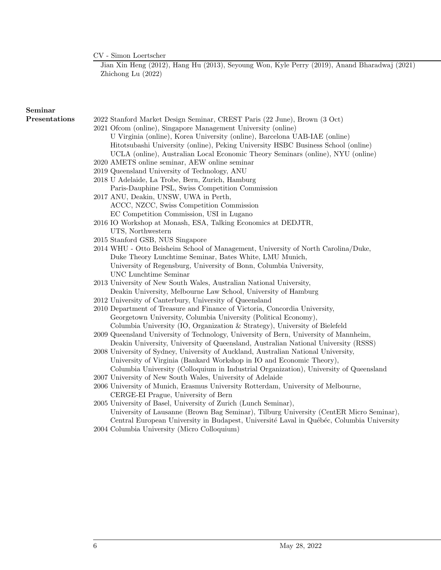$\mathrm{CV}$  - Simon Loertscher

Jian Xin Heng (2012), Hang Hu (2013), Seyoung Won, Kyle Perry (2019), Anand Bharadwaj (2021) Zhichong Lu (2022)

## Seminar

- Presentations 2022 Stanford Market Design Seminar, CREST Paris (22 June), Brown (3 Oct)
	- 2021 Ofcom (online), Singapore Management University (online) U Virginia (online), Korea University (online), Barcelona UAB-IAE (online) Hitotsubashi University (online), Peking University HSBC Business School (online) UCLA (online), Australian Local Economic Theory Seminars (online), NYU (online)
	- 2020 AMETS online seminar, AEW online seminar
	- 2019 Queensland University of Technology, ANU
	- 2018 U Adelaide, La Trobe, Bern, Zurich, Hamburg Paris-Dauphine PSL, Swiss Competition Commission
	- 2017 ANU, Deakin, UNSW, UWA in Perth, ACCC, NZCC, Swiss Competition Commission EC Competition Commission, USI in Lugano
	- 2016 IO Workshop at Monash, ESA, Talking Economics at DEDJTR, UTS, Northwestern
	- 2015 Stanford GSB, NUS Singapore
	- 2014 WHU Otto Beisheim School of Management, University of North Carolina/Duke, Duke Theory Lunchtime Seminar, Bates White, LMU Munich, University of Regensburg, University of Bonn, Columbia University, UNC Lunchtime Seminar
	- 2013 University of New South Wales, Australian National University, Deakin University, Melbourne Law School, University of Hamburg
	- 2012 University of Canterbury, University of Queensland
	- 2010 Department of Treasure and Finance of Victoria, Concordia University, Georgetown University, Columbia University (Political Economy), Columbia University (IO, Organization & Strategy), University of Bielefeld
	- 2009 Queensland University of Technology, University of Bern, University of Mannheim, Deakin University, University of Queensland, Australian National University (RSSS)
	- 2008 University of Sydney, University of Auckland, Australian National University, University of Virginia (Bankard Workshop in IO and Economic Theory), Columbia University (Colloquium in Industrial Organization), University of Queensland
	- 2007 University of New South Wales, University of Adelaide
	- 2006 University of Munich, Erasmus University Rotterdam, University of Melbourne, CERGE-EI Prague, University of Bern
	- 2005 University of Basel, University of Zurich (Lunch Seminar), University of Lausanne (Brown Bag Seminar), Tilburg University (CentER Micro Seminar), Central European University in Budapest, Université Laval in Québéc, Columbia University
	- 2004 Columbia University (Micro Colloquium)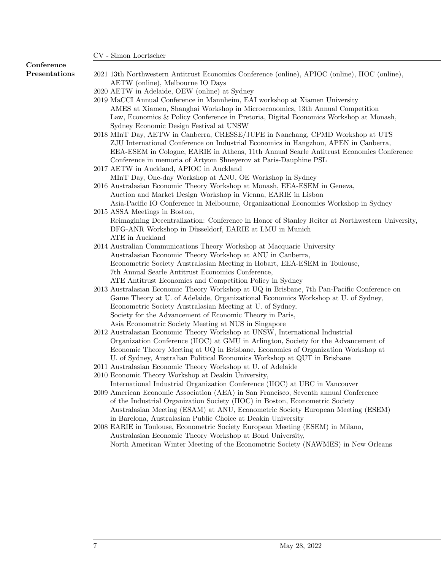## Conference

- Presentations 2021 13th Northwestern Antitrust Economics Conference (online), APIOC (online), IIOC (online), AETW (online), Melbourne IO Days
	- 2020 AETW in Adelaide, OEW (online) at Sydney
	- 2019 MaCCI Annual Conference in Mannheim, EAI workshop at Xiamen University AMES at Xiamen, Shanghai Workshop in Microeconomics, 13th Annual Competition Law, Economics & Policy Conference in Pretoria, Digital Economics Workshop at Monash, Sydney Economic Design Festival at UNSW
	- 2018 MInT Day, AETW in Canberra, CRESSE/JUFE in Nanchang, CPMD Workshop at UTS ZJU International Conference on Industrial Economics in Hangzhou, APEN in Canberra, EEA-ESEM in Cologne, EARIE in Athens, 11th Annual Searle Antitrust Economics Conference Conference in memoria of Artyom Shneyerov at Paris-Dauphine PSL
	- 2017 AETW in Auckland, APIOC in Auckland
	- MInT Day, One-day Workshop at ANU, OE Workshop in Sydney 2016 Australasian Economic Theory Workshop at Monash, EEA-ESEM in Geneva, Auction and Market Design Workshop in Vienna, EARIE in Lisbon
	- Asia-Pacific IO Conference in Melbourne, Organizational Economics Workshop in Sydney 2015 ASSA Meetings in Boston,
	- Reimagining Decentralization: Conference in Honor of Stanley Reiter at Northwestern University, DFG-ANR Workshop in Düsseldorf, EARIE at LMU in Munich ATE in Auckland
	- 2014 Australian Communications Theory Workshop at Macquarie University Australasian Economic Theory Workshop at ANU in Canberra, Econometric Society Australasian Meeting in Hobart, EEA-ESEM in Toulouse, 7th Annual Searle Antitrust Economics Conference, ATE Antitrust Economics and Competition Policy in Sydney
	- 2013 Australasian Economic Theory Workshop at UQ in Brisbane, 7th Pan-Pacific Conference on Game Theory at U. of Adelaide, Organizational Economics Workshop at U. of Sydney, Econometric Society Australasian Meeting at U. of Sydney, Society for the Advancement of Economic Theory in Paris, Asia Econometric Society Meeting at NUS in Singapore
	- 2012 Australasian Economic Theory Workshop at UNSW, International Industrial Organization Conference (IIOC) at GMU in Arlington, Society for the Advancement of Economic Theory Meeting at UQ in Brisbane, Economics of Organization Workshop at U. of Sydney, Australian Political Economics Workshop at QUT in Brisbane
	- 2011 Australasian Economic Theory Workshop at U. of Adelaide
	- 2010 Economic Theory Workshop at Deakin University,
	- International Industrial Organization Conference (IIOC) at UBC in Vancouver 2009 American Economic Association (AEA) in San Francisco, Seventh annual Conference of the Industrial Organization Society (IIOC) in Boston, Econometric Society
		- Australasian Meeting (ESAM) at ANU, Econometric Society European Meeting (ESEM) in Barelona, Australasian Public Choice at Deakin University
	- 2008 EARIE in Toulouse, Econometric Society European Meeting (ESEM) in Milano, Australasian Economic Theory Workshop at Bond University, North American Winter Meeting of the Econometric Society (NAWMES) in New Orleans